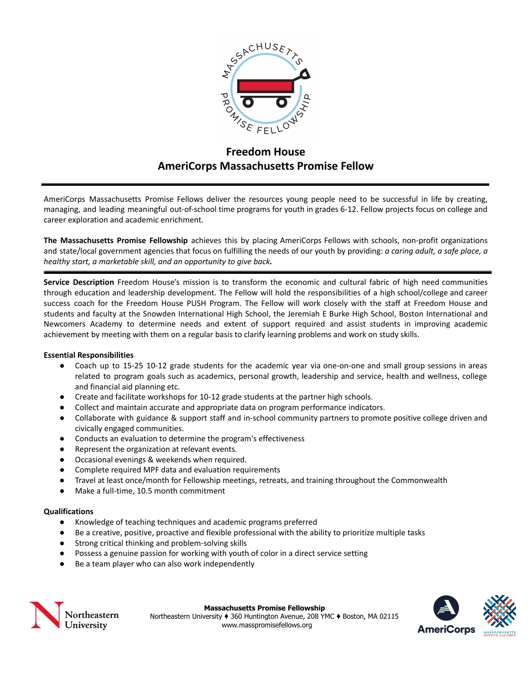

# **Freedom House AmeriCorps Massachusetts Promise Fellow**

AmeriCorps Massachusetts Promise Fellows deliver the resources young people need to be successful in life by creating, managing, and leading meaningful out-of-school time programs for youth in grades 6-12. Fellow projects focus on college and career exploration and academic enrichment.

**The Massachusetts Promise Fellowship** achieves this by placing AmeriCorps Fellows with schools, non-profit organizations and state/local government agencies that focus on fulfilling the needs of our youth by providing: *a caring adult, a safe place, a healthy start, a marketable skill, and an opportunity to give back.*

**Service Description** Freedom House's mission is to transform the economic and cultural fabric of high need communities through education and leadership development. The Fellow will hold the responsibilities of a high school/college and career success coach for the Freedom House PUSH Program. The Fellow will work closely with the staff at Freedom House and students and faculty at the Snowden International High School, the Jeremiah E Burke High School, Boston International and Newcomers Academy to determine needs and extent of support required and assist students in improving academic achievement by meeting with them on a regular basis to clarify learning problems and work on study skills.

## **Essential Responsibilities**

- Coach up to 15-25 10-12 grade students for the academic year via one-on-one and small group sessions in areas related to program goals such as academics, personal growth, leadership and service, health and wellness, college and financial aid planning etc.
- Create and facilitate workshops for 10-12 grade students at the partner high schools.
- Collect and maintain accurate and appropriate data on program performance indicators.
- Collaborate with guidance & support staff and in-school community partners to promote positive college driven and civically engaged communities.
- Conducts an evaluation to determine the program's effectiveness
- Represent the organization at relevant events.
- Occasional evenings & weekends when required.
- Complete required MPF data and evaluation requirements
- Travel at least once/month for Fellowship meetings, retreats, and training throughout the Commonwealth
- Make a full-time, 10.5 month commitment

## **Qualifications**

- Knowledge of teaching techniques and academic programs preferred
- Be a creative, positive, proactive and flexible professional with the ability to prioritize multiple tasks
- Strong critical thinking and problem-solving skills
- Possess a genuine passion for working with youth of color in a direct service setting
- Be a team player who can also work independently



**Massachusetts Promise Fellowship**

Northeastern University ♦ 360 Huntington Avenue, 208 YMC ♦ Boston, MA 02115 www.masspromisefellows.org